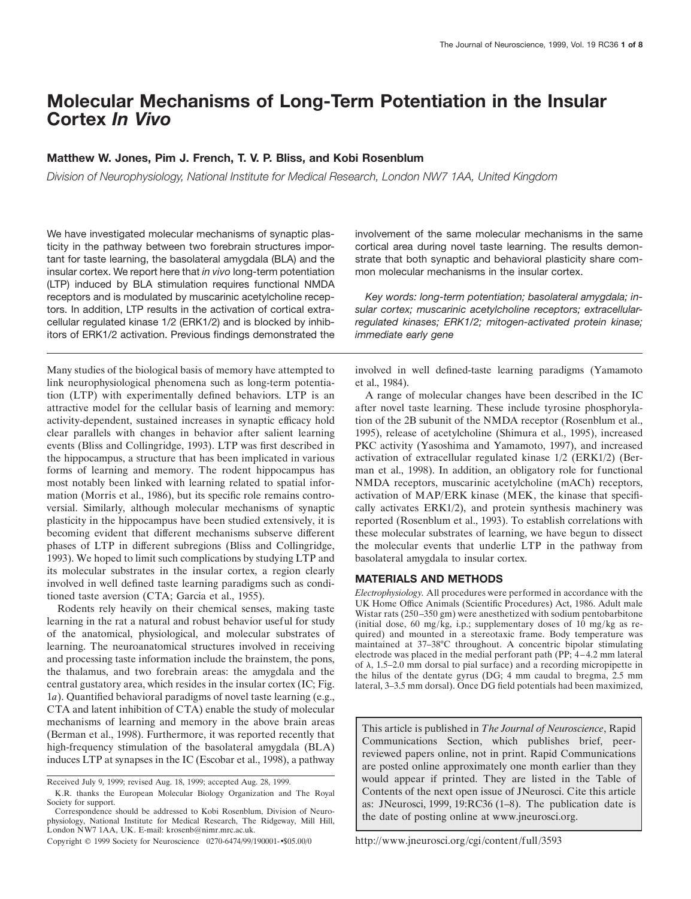# **Molecular Mechanisms of Long-Term Potentiation in the Insular Cortex** *In Vivo*

## **Matthew W. Jones, Pim J. French, T. V. P. Bliss, and Kobi Rosenblum**

*Division of Neurophysiology, National Institute for Medical Research, London NW7 1AA, United Kingdom*

We have investigated molecular mechanisms of synaptic plasticity in the pathway between two forebrain structures important for taste learning, the basolateral amygdala (BLA) and the insular cortex. We report here that *in vivo* long-term potentiation (LTP) induced by BLA stimulation requires functional NMDA receptors and is modulated by muscarinic acetylcholine receptors. In addition, LTP results in the activation of cortical extracellular regulated kinase 1/2 (ERK1/2) and is blocked by inhibitors of ERK1/2 activation. Previous findings demonstrated the

Many studies of the biological basis of memory have attempted to link neurophysiological phenomena such as long-term potentiation (LTP) with experimentally defined behaviors. LTP is an attractive model for the cellular basis of learning and memory: activity-dependent, sustained increases in synaptic efficacy hold clear parallels with changes in behavior after salient learning events (Bliss and Collingridge, 1993). LTP was first described in the hippocampus, a structure that has been implicated in various forms of learning and memory. The rodent hippocampus has most notably been linked with learning related to spatial information (Morris et al., 1986), but its specific role remains controversial. Similarly, although molecular mechanisms of synaptic plasticity in the hippocampus have been studied extensively, it is becoming evident that different mechanisms subserve different phases of LTP in different subregions (Bliss and Collingridge, 1993). We hoped to limit such complications by studying LTP and its molecular substrates in the insular cortex, a region clearly involved in well defined taste learning paradigms such as conditioned taste aversion (CTA; Garcia et al., 1955).

Rodents rely heavily on their chemical senses, making taste learning in the rat a natural and robust behavior useful for study of the anatomical, physiological, and molecular substrates of learning. The neuroanatomical structures involved in receiving and processing taste information include the brainstem, the pons, the thalamus, and two forebrain areas: the amygdala and the central gustatory area, which resides in the insular cortex (IC; Fig. 1*a*). Quantified behavioral paradigms of novel taste learning (e.g., CTA and latent inhibition of CTA) enable the study of molecular mechanisms of learning and memory in the above brain areas (Berman et al., 1998). Furthermore, it was reported recently that high-frequency stimulation of the basolateral amygdala (BLA) induces LTP at synapses in the IC (Escobar et al., 1998), a pathway

involvement of the same molecular mechanisms in the same cortical area during novel taste learning. The results demonstrate that both synaptic and behavioral plasticity share common molecular mechanisms in the insular cortex.

*Key words: long-term potentiation; basolateral amygdala; insular cortex; muscarinic acetylcholine receptors; extracellularregulated kinases; ERK1/2; mitogen-activated protein kinase; immediate early gene*

involved in well defined-taste learning paradigms (Yamamoto et al., 1984).

A range of molecular changes have been described in the IC after novel taste learning. These include tyrosine phosphorylation of the 2B subunit of the NMDA receptor (Rosenblum et al., 1995), release of acetylcholine (Shimura et al., 1995), increased PKC activity (Yasoshima and Yamamoto, 1997), and increased activation of extracellular regulated kinase 1/2 (ERK1/2) (Berman et al., 1998). In addition, an obligatory role for functional NMDA receptors, muscarinic acetylcholine (mACh) receptors, activation of MAP/ERK kinase (MEK, the kinase that specifically activates ERK1/2), and protein synthesis machinery was reported (Rosenblum et al., 1993). To establish correlations with these molecular substrates of learning, we have begun to dissect the molecular events that underlie LTP in the pathway from basolateral amygdala to insular cortex.

#### **MATERIALS AND METHODS**

*Electrophysiology.* All procedures were performed in accordance with the UK Home Office Animals (Scientific Procedures) Act, 1986. Adult male Wistar rats (250–350 gm) were anesthetized with sodium pentobarbitone (initial dose, 60 mg/kg, i.p.; supplementary doses of 10 mg/kg as required) and mounted in a stereotaxic frame. Body temperature was maintained at 37–38°C throughout. A concentric bipolar stimulating electrode was placed in the medial perforant path (PP; 4–4.2 mm lateral of  $\lambda$ , 1.5–2.0 mm dorsal to pial surface) and a recording micropipette in the hilus of the dentate gyrus (DG; 4 mm caudal to bregma, 2.5 mm lateral, 3–3.5 mm dorsal). Once DG field potentials had been maximized,

This article is published in *The Journal of Neuroscience*, Rapid Communications Section, which publishes brief, peerreviewed papers online, not in print. Rapid Communications are posted online approximately one month earlier than they would appear if printed. They are listed in the Table of Contents of the next open issue of JNeurosci. Cite this article as: JNeurosci, 1999, 19:RC36 (1–8). The publication date is the date of posting online at www.jneurosci.org.

http://www.jneurosci.org/cgi/content/full/3593

Received July 9, 1999; revised Aug. 18, 1999; accepted Aug. 28, 1999.

K.R. thanks the European Molecular Biology Organization and The Royal Society for support.

Correspondence should be addressed to Kobi Rosenblum, Division of Neurophysiology, National Institute for Medical Research, The Ridgeway, Mill Hill, London NW7 1AA, UK. E-mail: krosenb@nimr.mrc.ac.uk.

Copyright © 1999 Society for Neuroscience 0270-6474/99/190001-•\$05.00/0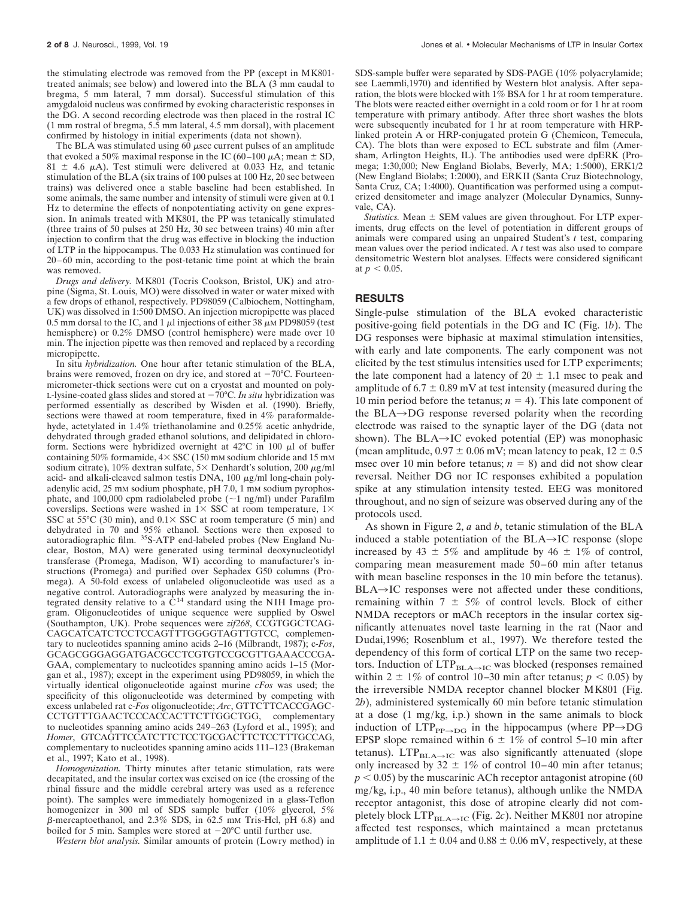the stimulating electrode was removed from the PP (except in MK801 treated animals; see below) and lowered into the BLA (3 mm caudal to bregma, 5 mm lateral, 7 mm dorsal). Successful stimulation of this amygdaloid nucleus was confirmed by evoking characteristic responses in the DG. A second recording electrode was then placed in the rostral IC (1 mm rostral of bregma, 5.5 mm lateral, 4.5 mm dorsal), with placement confirmed by histology in initial experiments (data not shown).

The BLA was stimulated using  $60 \mu$ sec current pulses of an amplitude that evoked a 50% maximal response in the IC (60–100  $\mu$ A; mean  $\pm$  SD,  $81 \pm 4.6$   $\mu$ A). Test stimuli were delivered at 0.033 Hz, and tetanic stimulation of the BLA (six trains of 100 pulses at 100 Hz, 20 sec between trains) was delivered once a stable baseline had been established. In some animals, the same number and intensity of stimuli were given at 0.1 Hz to determine the effects of nonpotentiating activity on gene expression. In animals treated with MK801, the PP was tetanically stimulated (three trains of 50 pulses at 250 Hz, 30 sec between trains) 40 min after injection to confirm that the drug was effective in blocking the induction of LTP in the hippocampus. The 0.033 Hz stimulation was continued for 20–60 min, according to the post-tetanic time point at which the brain was removed.

*Drugs and delivery.* MK801 (Tocris Cookson, Bristol, UK) and atropine (Sigma, St. Louis, MO) were dissolved in water or water mixed with a few drops of ethanol, respectively. PD98059 (Calbiochem, Nottingham, UK) was dissolved in 1:500 DMSO. An injection micropipette was placed 0.5 mm dorsal to the IC, and 1  $\mu$ l injections of either 38  $\mu$ M PD98059 (test hemisphere) or 0.2% DMSO (control hemisphere) were made over 10 min. The injection pipette was then removed and replaced by a recording micropipette.

In situ *hybridization.* One hour after tetanic stimulation of the BLA, brains were removed, frozen on dry ice, and stored at  $-70^{\circ}$ C. Fourteenmicrometer-thick sections were cut on a cryostat and mounted on poly-L-lysine-coated glass slides and stored at  $-70^{\circ}$ C. *In situ* hybridization was performed essentially as described by Wisden et al. (1990). Briefly, sections were thawed at room temperature, fixed in 4% paraformaldehyde, actetylated in 1.4% triethanolamine and 0.25% acetic anhydride, dehydrated through graded ethanol solutions, and delipidated in chloroform. Sections were hybridized overnight at  $42^{\circ}$ C in 100  $\mu$ l of buffer containing 50% formamide,  $4 \times$  SSC (150 mM sodium chloride and 15 mM sodium citrate), 10% dextran sulfate,  $5 \times$  Denhardt's solution, 200  $\mu$ g/ml acid- and alkali-cleaved salmon testis DNA,  $100 \mu g/ml$  long-chain polyadenylic acid, 25 mM sodium phosphate, pH 7.0, 1 mM sodium pyrophosphate, and 100,000 cpm radiolabeled probe  $({\sim}1 \text{ ng/ml})$  under Parafilm coverslips. Sections were washed in  $1 \times SSC$  at room temperature,  $1 \times$ SSC at  $55^{\circ}$ C (30 min), and  $0.1 \times$  SSC at room temperature (5 min) and dehydrated in 70 and 95% ethanol. Sections were then exposed to autoradiographic film. 35S-ATP end-labeled probes (New England Nuclear, Boston, MA) were generated using terminal deoxynucleotidyl transferase (Promega, Madison, WI) according to manufacturer's instructions (Promega) and purified over Sephadex G50 columns (Promega). A 50-fold excess of unlabeled oligonucleotide was used as a negative control. Autoradiographs were analyzed by measuring the integrated density relative to a  $C^{14}$  standard using the NIH Image program. Oligonucleotides of unique sequence were supplied by Oswel (Southampton, UK). Probe sequences were *zif268*, CCGTGGCTCAG-CAGCATCATCTCCTCCAGTTTGGGGTAGTTGTCC, complementary to nucleotides spanning amino acids 2–16 (Milbrandt, 1987); c-*Fos*, GCAGCGGGAGGATGACGCCTCGTGTCCGCGTTGAAACCCGA-GAA, complementary to nucleotides spanning amino acids 1–15 (Morgan et al., 1987); except in the experiment using PD98059, in which the virtually identical oligonucleotide against murine *cFos* was used; the specificity of this oligonucleotide was determined by competing with excess unlabeled rat c-*Fos* oligonucleotide; *Arc*, GTTCTTCACCGAGC-CCTGTTTGAACTCCCACCACTTCTTGGCTGG, complementary to nucleotides spanning amino acids 249 –263 (Lyford et al., 1995); and *Homer*, GTCAGTTCCATCTTCTCCTGCGACTTCTCCTTTGCCAG, complementary to nucleotides spanning amino acids 111–123 (Brakeman et al., 1997; Kato et al., 1998).

*Homogenization.* Thirty minutes after tetanic stimulation, rats were decapitated, and the insular cortex was excised on ice (the crossing of the rhinal fissure and the middle cerebral artery was used as a reference point). The samples were immediately homogenized in a glass-Teflon homogenizer in 300 ml of SDS sample buffer (10% glycerol, 5%  $\beta$ -mercaptoethanol, and 2.3% SDS, in 62.5 mm Tris-Hcl, pH 6.8) and boiled for 5 min. Samples were stored at  $-20^{\circ}$ C until further use.

*Western blot analysis.* Similar amounts of protein (Lowry method) in

SDS-sample buffer were separated by SDS-PAGE (10% polyacrylamide; see Laemmli,1970) and identified by Western blot analysis. After separation, the blots were blocked with 1% BSA for 1 hr at room temperature. The blots were reacted either overnight in a cold room or for 1 hr at room temperature with primary antibody. After three short washes the blots were subsequently incubated for 1 hr at room temperature with HRPlinked protein A or HRP-conjugated protein G (Chemicon, Temecula, CA). The blots than were exposed to ECL substrate and film (Amersham, Arlington Heights, IL). The antibodies used were dpERK (Promega; 1:30,000; New England Biolabs, Beverly, MA; 1:5000), ERK1/2 (New England Biolabs; 1:2000), and ERKII (Santa Cruz Biotechnology, Santa Cruz, CA; 1:4000). Quantification was performed using a computerized densitometer and image analyzer (Molecular Dynamics, Sunnyvale, CA).

*Statistics.* Mean  $\pm$  SEM values are given throughout. For LTP experiments, drug effects on the level of potentiation in different groups of animals were compared using an unpaired Student's *t* test, comparing mean values over the period indicated. A *t* test was also used to compare densitometric Western blot analyses. Effects were considered significant at  $p < 0.05$ .

#### **RESULTS**

Single-pulse stimulation of the BLA evoked characteristic positive-going field potentials in the DG and IC (Fig. 1*b*). The DG responses were biphasic at maximal stimulation intensities, with early and late components. The early component was not elicited by the test stimulus intensities used for LTP experiments; the late component had a latency of  $20 \pm 1.1$  msec to peak and amplitude of  $6.7 \pm 0.89$  mV at test intensity (measured during the 10 min period before the tetanus;  $n = 4$ ). This late component of the BLA $\rightarrow$ DG response reversed polarity when the recording electrode was raised to the synaptic layer of the DG (data not shown). The BLA $\rightarrow$ IC evoked potential (EP) was monophasic (mean amplitude,  $0.97 \pm 0.06$  mV; mean latency to peak,  $12 \pm 0.5$ msec over 10 min before tetanus;  $n = 8$ ) and did not show clear reversal. Neither DG nor IC responses exhibited a population spike at any stimulation intensity tested. EEG was monitored throughout, and no sign of seizure was observed during any of the protocols used.

As shown in Figure 2, *a* and *b*, tetanic stimulation of the BLA induced a stable potentiation of the  $BLA \rightarrow IC$  response (slope increased by 43  $\pm$  5% and amplitude by 46  $\pm$  1% of control, comparing mean measurement made 50–60 min after tetanus with mean baseline responses in the 10 min before the tetanus).  $BLA \rightarrow IC$  responses were not affected under these conditions, remaining within  $7 \pm 5\%$  of control levels. Block of either NMDA receptors or mACh receptors in the insular cortex significantly attenuates novel taste learning in the rat (Naor and Dudai,1996; Rosenblum et al., 1997). We therefore tested the dependency of this form of cortical LTP on the same two receptors. Induction of  $LTP_{BL, A\rightarrow IC}$  was blocked (responses remained within 2  $\pm$  1% of control 10–30 min after tetanus;  $p < 0.05$ ) by the irreversible NMDA receptor channel blocker MK801 (Fig. 2*b*), administered systemically 60 min before tetanic stimulation at a dose (1 mg/kg, i.p.) shown in the same animals to block induction of  $LTP_{PP\rightarrow DG}$  in the hippocampus (where PP $\rightarrow DG$ EPSP slope remained within  $6 \pm 1\%$  of control 5–10 min after tetanus).  $LTP_{BLA\rightarrow IC}$  was also significantly attenuated (slope only increased by 32  $\pm$  1% of control 10–40 min after tetanus;  $p < 0.05$ ) by the muscarinic ACh receptor antagonist atropine (60) mg/kg, i.p., 40 min before tetanus), although unlike the NMDA receptor antagonist, this dose of atropine clearly did not completely block  $\text{LTP}_{\text{BLA}\rightarrow\text{IC}}$  (Fig. 2*c*). Neither MK801 nor atropine affected test responses, which maintained a mean pretetanus amplitude of 1.1  $\pm$  0.04 and 0.88  $\pm$  0.06 mV, respectively, at these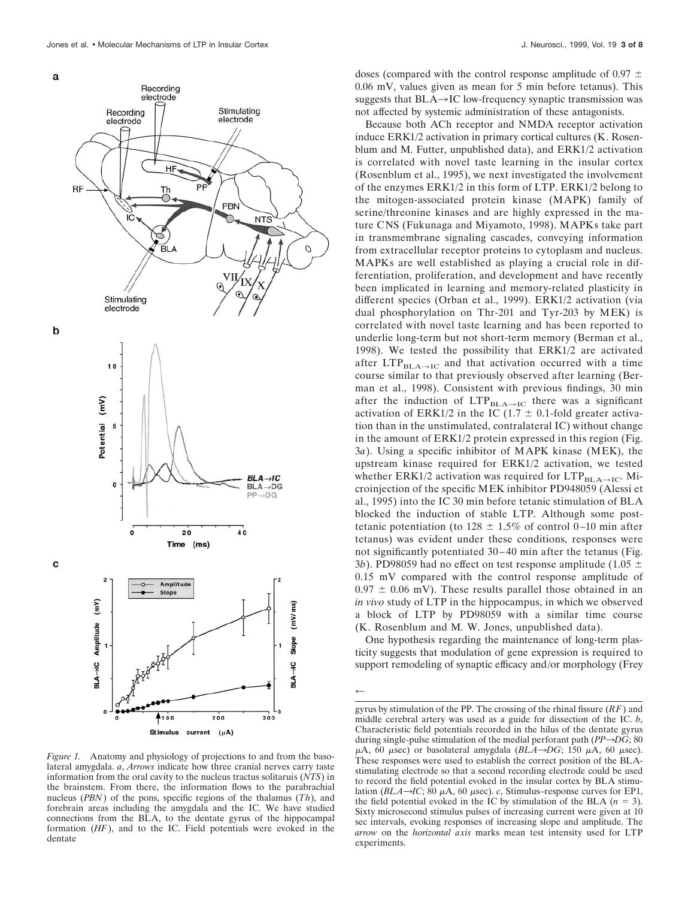

*Figure 1.* Anatomy and physiology of projections to and from the basolateral amygdala. *a*, *Arrows* indicate how three cranial nerves carry taste information from the oral cavity to the nucleus tractus solitaruis (*NTS*) in the brainstem. From there, the information flows to the parabrachial nucleus (*PBN*) of the pons, specific regions of the thalamus (*Th*), and forebrain areas including the amygdala and the IC. We have studied connections from the BLA, to the dentate gyrus of the hippocampal formation (*HF*), and to the IC. Field potentials were evoked in the dentate

doses (compared with the control response amplitude of 0.97  $\pm$ 0.06 mV, values given as mean for 5 min before tetanus). This suggests that  $BLA \rightarrow IC$  low-frequency synaptic transmission was not affected by systemic administration of these antagonists.

Because both ACh receptor and NMDA receptor activation induce ERK1/2 activation in primary cortical cultures (K. Rosenblum and M. Futter, unpublished data), and ERK1/2 activation is correlated with novel taste learning in the insular cortex (Rosenblum et al., 1995), we next investigated the involvement of the enzymes ERK1/2 in this form of LTP. ERK1/2 belong to the mitogen-associated protein kinase (MAPK) family of serine/threonine kinases and are highly expressed in the mature CNS (Fukunaga and Miyamoto, 1998). MAPKs take part in transmembrane signaling cascades, conveying information from extracellular receptor proteins to cytoplasm and nucleus. MAPKs are well established as playing a crucial role in differentiation, proliferation, and development and have recently been implicated in learning and memory-related plasticity in different species (Orban et al., 1999). ERK1/2 activation (via dual phosphorylation on Thr-201 and Tyr-203 by MEK) is correlated with novel taste learning and has been reported to underlie long-term but not short-term memory (Berman et al., 1998). We tested the possibility that ERK1/2 are activated after  $LTP_{BLA\rightarrow IC}$  and that activation occurred with a time course similar to that previously observed after learning (Berman et al., 1998). Consistent with previous findings, 30 min after the induction of  $LTP_{BLA\rightarrow IC}$  there was a significant activation of ERK1/2 in the IC (1.7  $\pm$  0.1-fold greater activation than in the unstimulated, contralateral IC) without change in the amount of ERK1/2 protein expressed in this region (Fig. 3*a*). Using a specific inhibitor of MAPK kinase (MEK), the upstream kinase required for ERK1/2 activation, we tested whether ERK1/2 activation was required for  $LTP_{BLA\rightarrow IC}$ . Microinjection of the specific MEK inhibitor PD948059 (Alessi et al., 1995) into the IC 30 min before tetanic stimulation of BLA blocked the induction of stable LTP. Although some posttetanic potentiation (to  $128 \pm 1.5\%$  of control 0–10 min after tetanus) was evident under these conditions, responses were not significantly potentiated 30–40 min after the tetanus (Fig. 3*b*). PD98059 had no effect on test response amplitude (1.05  $\pm$ 0.15 mV compared with the control response amplitude of  $0.97 \pm 0.06$  mV). These results parallel those obtained in an *in vivo* study of LTP in the hippocampus, in which we observed a block of LTP by PD98059 with a similar time course (K. Rosenblum and M. W. Jones, unpublished data).

One hypothesis regarding the maintenance of long-term plasticity suggests that modulation of gene expression is required to support remodeling of synaptic efficacy and/or morphology (Frey

 $\leftarrow$ 

gyrus by stimulation of the PP. The crossing of the rhinal fissure (*RF*) and middle cerebral artery was used as a guide for dissection of the IC. *b*, Characteristic field potentials recorded in the hilus of the dentate gyrus during single-pulse stimulation of the medial perforant path  $(PP \rightarrow DG; 80)$  $\mu$ A,  $\overline{60}$   $\mu$ sec) or basolateral amygdala (*BLA* $\rightarrow$ *DG*; 150  $\mu$ A, 60  $\mu$ sec). These responses were used to establish the correct position of the BLAstimulating electrode so that a second recording electrode could be used to record the field potential evoked in the insular cortex by BLA stimulation ( $BLA\rightarrow IC$ ; 80  $\mu$ A, 60  $\mu$ sec). *c*, Stimulus–response curves for EP1, the field potential evoked in the IC by stimulation of the BLA  $(n = 3)$ . Sixty microsecond stimulus pulses of increasing current were given at 10 sec intervals, evoking responses of increasing slope and amplitude. The *arrow* on the *horizontal axis* marks mean test intensity used for LTP experiments.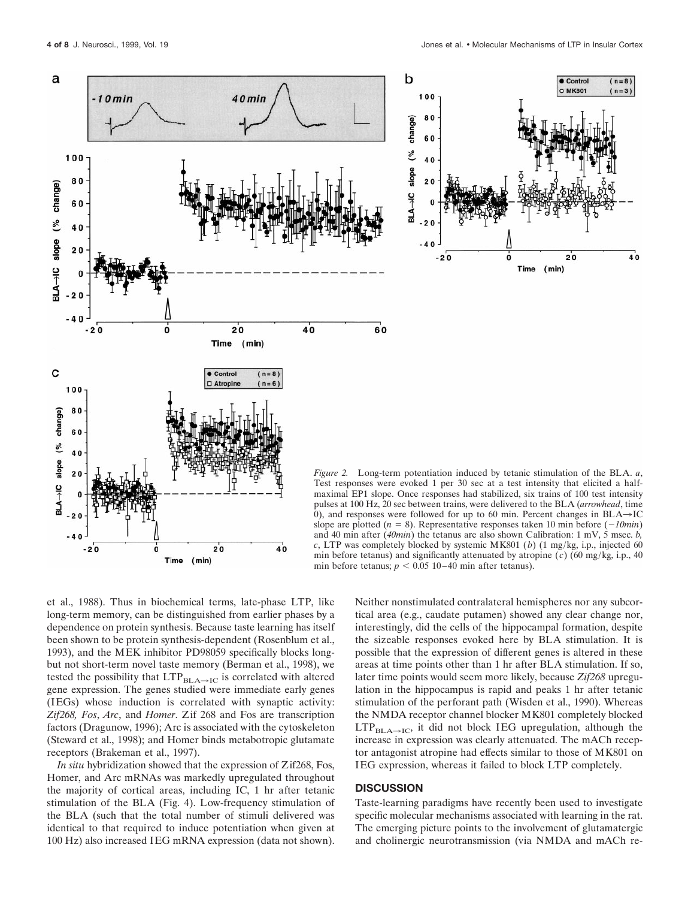$(n=8)$ 

 $(n=3)$ 

 $40^{\circ}$ 



Test responses were evoked 1 per 30 sec at a test intensity that elicited a halfmaximal EP1 slope. Once responses had stabilized, six trains of 100 test intensity pulses at 100 Hz, 20 sec between trains, were delivered to the BLA (*arrowhead*, time 0), and responses were followed for up to 60 min. Percent changes in  $BLA \rightarrow IC$ slope are plotted  $(n = 8)$ . Representative responses taken 10 min before  $(-10min)$ and 40 min after (*40min*) the tetanus are also shown Calibration: 1 mV, 5 msec. *b, c*, LTP was completely blocked by systemic MK801 (*b*) (1 mg/kg, i.p., injected 60 min before tetanus) and significantly attenuated by atropine  $(c)$  (60 mg/kg, i.p., 40 min before tetanus;  $p < 0.05$  10–40 min after tetanus).

et al., 1988). Thus in biochemical terms, late-phase LTP, like long-term memory, can be distinguished from earlier phases by a dependence on protein synthesis. Because taste learning has itself been shown to be protein synthesis-dependent (Rosenblum et al., 1993), and the MEK inhibitor PD98059 specifically blocks longbut not short-term novel taste memory (Berman et al., 1998), we tested the possibility that  $LTP_{BLA\rightarrow IC}$  is correlated with altered gene expression. The genes studied were immediate early genes (IEGs) whose induction is correlated with synaptic activity: *Zif268, Fos*, *Arc*, and *Homer*. Zif 268 and Fos are transcription factors (Dragunow, 1996); Arc is associated with the cytoskeleton (Steward et al., 1998); and Homer binds metabotropic glutamate receptors (Brakeman et al., 1997).

 $(min)$ 

Time

*In situ* hybridization showed that the expression of Zif268, Fos, Homer, and Arc mRNAs was markedly upregulated throughout the majority of cortical areas, including IC, 1 hr after tetanic stimulation of the BLA (Fig. 4). Low-frequency stimulation of the BLA (such that the total number of stimuli delivered was identical to that required to induce potentiation when given at 100 Hz) also increased IEG mRNA expression (data not shown).

Neither nonstimulated contralateral hemispheres nor any subcortical area (e.g., caudate putamen) showed any clear change nor, interestingly, did the cells of the hippocampal formation, despite the sizeable responses evoked here by BLA stimulation. It is possible that the expression of different genes is altered in these areas at time points other than 1 hr after BLA stimulation. If so, later time points would seem more likely, because *Zif268* upregulation in the hippocampus is rapid and peaks 1 hr after tetanic stimulation of the perforant path (Wisden et al., 1990). Whereas the NMDA receptor channel blocker MK801 completely blocked  $LTP_{BLA\rightarrow IC}$ , it did not block IEG upregulation, although the increase in expression was clearly attenuated. The mACh receptor antagonist atropine had effects similar to those of MK801 on IEG expression, whereas it failed to block LTP completely.

### **DISCUSSION**

Taste-learning paradigms have recently been used to investigate specific molecular mechanisms associated with learning in the rat. The emerging picture points to the involvement of glutamatergic and cholinergic neurotransmission (via NMDA and mACh re-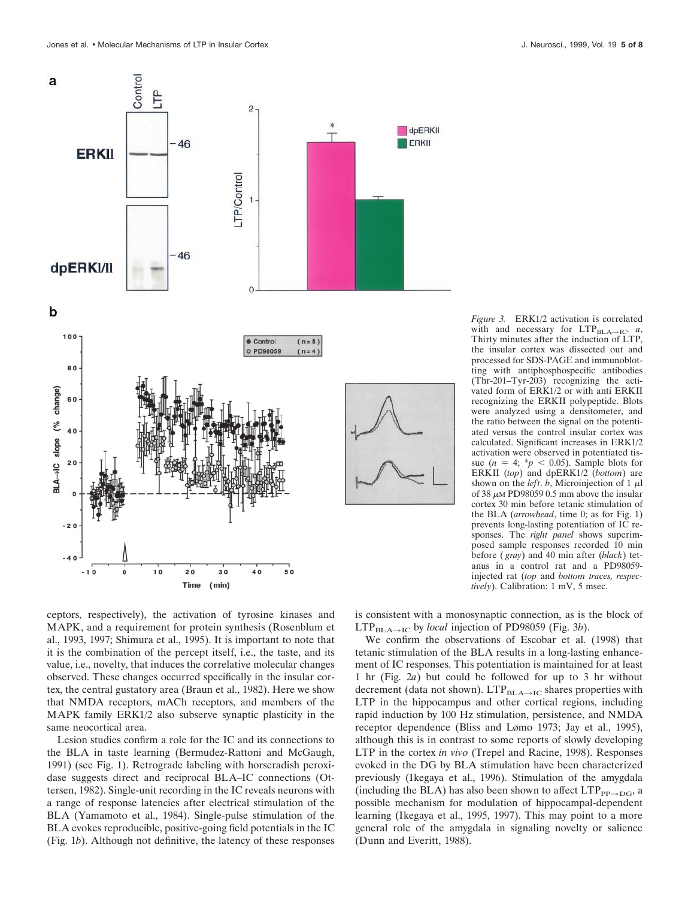



ceptors, respectively), the activation of tyrosine kinases and MAPK, and a requirement for protein synthesis (Rosenblum et al., 1993, 1997; Shimura et al., 1995). It is important to note that it is the combination of the percept itself, i.e., the taste, and its value, i.e., novelty, that induces the correlative molecular changes observed. These changes occurred specifically in the insular cortex, the central gustatory area (Braun et al., 1982). Here we show that NMDA receptors, mACh receptors, and members of the MAPK family ERK1/2 also subserve synaptic plasticity in the same neocortical area.

Lesion studies confirm a role for the IC and its connections to the BLA in taste learning (Bermudez-Rattoni and McGaugh, 1991) (see Fig. 1). Retrograde labeling with horseradish peroxidase suggests direct and reciprocal BLA–IC connections (Ottersen, 1982). Single-unit recording in the IC reveals neurons with a range of response latencies after electrical stimulation of the BLA (Yamamoto et al., 1984). Single-pulse stimulation of the BLA evokes reproducible, positive-going field potentials in the IC (Fig. 1*b*). Although not definitive, the latency of these responses is consistent with a monosynaptic connection, as is the block of LTP<sub>BLA→IC</sub> by *local* injection of PD98059 (Fig. 3*b*).

We confirm the observations of Escobar et al. (1998) that tetanic stimulation of the BLA results in a long-lasting enhancement of IC responses. This potentiation is maintained for at least 1 hr (Fig. 2*a*) but could be followed for up to 3 hr without decrement (data not shown). LTP $_{\rm BLA \rightarrow IC}$  shares properties with LTP in the hippocampus and other cortical regions, including rapid induction by 100 Hz stimulation, persistence, and NMDA receptor dependence (Bliss and Lømo 1973; Jay et al., 1995), although this is in contrast to some reports of slowly developing LTP in the cortex *in vivo* (Trepel and Racine, 1998). Responses evoked in the DG by BLA stimulation have been characterized previously (Ikegaya et al., 1996). Stimulation of the amygdala (including the BLA) has also been shown to affect  $LTP_{PP\rightarrow DG}$ , a possible mechanism for modulation of hippocampal-dependent learning (Ikegaya et al., 1995, 1997). This may point to a more general role of the amygdala in signaling novelty or salience (Dunn and Everitt, 1988).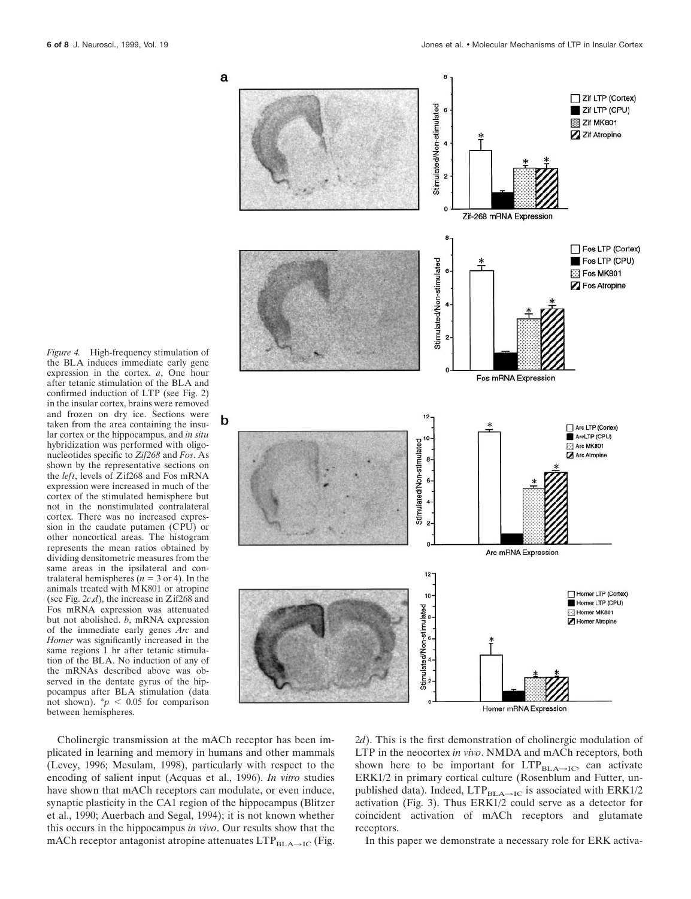

*Figure 4.* High-frequency stimulation of the BLA induces immediate early gene expression in the cortex. *a*, One hour after tetanic stimulation of the BLA and confirmed induction of LTP (see Fig. 2) in the insular cortex, brains were removed and frozen on dry ice. Sections were taken from the area containing the insular cortex or the hippocampus, and *in situ* hybridization was performed with oligonucleotides specific to *Zif268* and *Fos*. As shown by the representative sections on the *left*, levels of Zif268 and Fos mRNA expression were increased in much of the cortex of the stimulated hemisphere but not in the nonstimulated contralateral cortex. There was no increased expression in the caudate putamen (CPU) or other noncortical areas. The histogram represents the mean ratios obtained by dividing densitometric measures from the same areas in the ipsilateral and contralateral hemispheres ( $n = 3$  or 4). In the animals treated with MK801 or atropine (see Fig. 2*c*,*d*), the increase in Zif268 and Fos mRNA expression was attenuated but not abolished. *b*, mRNA expression of the immediate early genes *Arc* and *Homer* was significantly increased in the same regions 1 hr after tetanic stimulation of the BLA. No induction of any of the mRNAs described above was observed in the dentate gyrus of the hippocampus after BLA stimulation (data not shown).  $\frac{p}{p}$  < 0.05 for comparison between hemispheres.

Cholinergic transmission at the mACh receptor has been implicated in learning and memory in humans and other mammals (Levey, 1996; Mesulam, 1998), particularly with respect to the encoding of salient input (Acquas et al., 1996). *In vitro* studies have shown that mACh receptors can modulate, or even induce, synaptic plasticity in the CA1 region of the hippocampus (Blitzer et al., 1990; Auerbach and Segal, 1994); it is not known whether this occurs in the hippocampus *in vivo*. Our results show that the mACh receptor antagonist atropine attenuates  $LTP_{BLA\rightarrow IC}$  (Fig.

2*d*). This is the first demonstration of cholinergic modulation of LTP in the neocortex *in vivo*. NMDA and mACh receptors, both shown here to be important for  $LTP_{BLA\rightarrow IC}$ , can activate ERK1/2 in primary cortical culture (Rosenblum and Futter, unpublished data). Indeed,  $LTP_{BLA\rightarrow IC}$  is associated with  $ERK1/2$ activation (Fig. 3). Thus ERK1/2 could serve as a detector for coincident activation of mACh receptors and glutamate receptors.

In this paper we demonstrate a necessary role for ERK activa-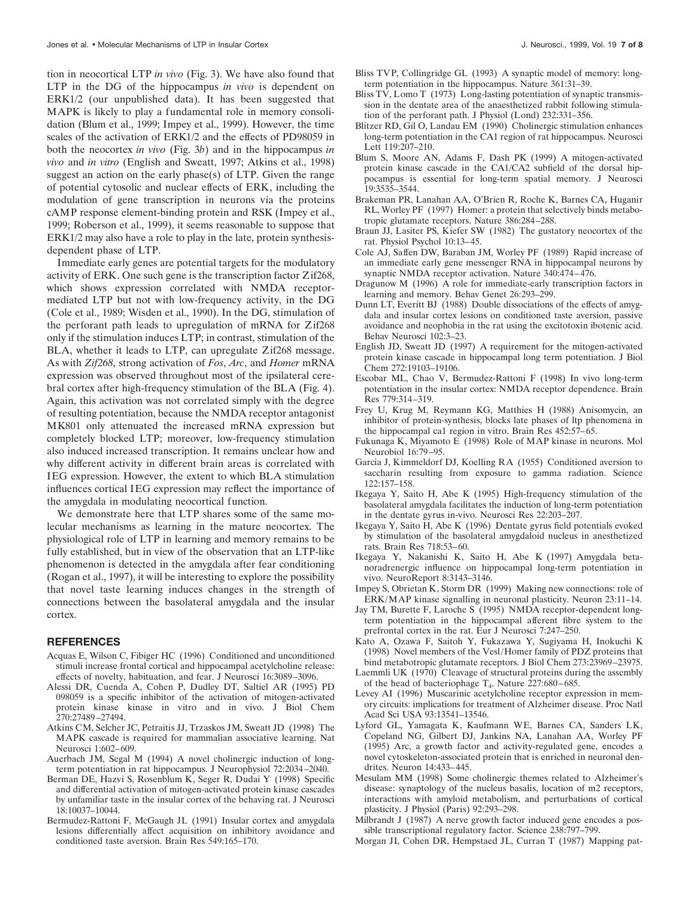tion in neocortical LTP *in vivo* (Fig. 3). We have also found that LTP in the DG of the hippocampus *in vivo* is dependent on ERK1/2 (our unpublished data). It has been suggested that MAPK is likely to play a fundamental role in memory consolidation (Blum et al., 1999; Impey et al., 1999). However, the time scales of the activation of ERK1/2 and the effects of PD98059 in both the neocortex *in vivo* (Fig. 3*b*) and in the hippocampus *in vivo* and *in vitro* (English and Sweatt, 1997; Atkins et al., 1998) suggest an action on the early phase(s) of LTP. Given the range of potential cytosolic and nuclear effects of ERK, including the modulation of gene transcription in neurons via the proteins cAMP response element-binding protein and RSK (Impey et al., 1999; Roberson et al., 1999), it seems reasonable to suppose that ERK1/2 may also have a role to play in the late, protein synthesisdependent phase of LTP.

Immediate early genes are potential targets for the modulatory activity of ERK. One such gene is the transcription factor Zif268, which shows expression correlated with NMDA receptormediated LTP but not with low-frequency activity, in the DG (Cole et al., 1989; Wisden et al., 1990). In the DG, stimulation of the perforant path leads to upregulation of mRNA for Zif268 only if the stimulation induces LTP; in contrast, stimulation of the BLA, whether it leads to LTP, can upregulate Zif268 message. As with *Zif268*, strong activation of *Fos*, *Arc*, and *Homer* mRNA expression was observed throughout most of the ipsilateral cerebral cortex after high-frequency stimulation of the BLA (Fig. 4). Again, this activation was not correlated simply with the degree of resulting potentiation, because the NMDA receptor antagonist MK801 only attenuated the increased mRNA expression but completely blocked LTP; moreover, low-frequency stimulation also induced increased transcription. It remains unclear how and why different activity in different brain areas is correlated with IEG expression. However, the extent to which BLA stimulation influences cortical IEG expression may reflect the importance of the amygdala in modulating neocortical function.

We demonstrate here that LTP shares some of the same molecular mechanisms as learning in the mature neocortex. The physiological role of LTP in learning and memory remains to be fully established, but in view of the observation that an LTP-like phenomenon is detected in the amygdala after fear conditioning (Rogan et al., 1997), it will be interesting to explore the possibility that novel taste learning induces changes in the strength of connections between the basolateral amygdala and the insular cortex.

#### **REFERENCES**

- Acquas E, Wilson C, Fibiger HC (1996) Conditioned and unconditioned stimuli increase frontal cortical and hippocampal acetylcholine release: effects of novelty, habituation, and fear. J Neurosci 16:3089–3096.
- Alessi DR, Cuenda A, Cohen P, Dudley DT, Saltiel AR (1995) PD 098059 is a specific inhibitor of the activation of mitogen-activated protein kinase kinase in vitro and in vivo. J Biol Chem 270:27489–27494.
- Atkins CM, Selcher JC, Petraitis JJ, Trzaskos JM, Sweatt JD (1998) The MAPK cascade is required for mammalian associative learning. Nat Neurosci 1:602–609.
- Auerbach JM, Segal M (1994) A novel cholinergic induction of longterm potentiation in rat hippocampus. J Neurophysiol 72:2034–2040.
- Berman DE, Hazvi S, Rosenblum K, Seger R, Dudai Y (1998) Specific and differential activation of mitogen-activated protein kinase cascades by unfamiliar taste in the insular cortex of the behaving rat. J Neurosci 18:10037–10044.
- Bermudez-Rattoni F, McGaugh JL (1991) Insular cortex and amygdala lesions differentially affect acquisition on inhibitory avoidance and conditioned taste aversion. Brain Res 549:165–170.
- Bliss TVP, Collingridge GL (1993) A synaptic model of memory: longterm potentiation in the hippocampus. Nature 361:31–39.
- Bliss TV, Lomo T (1973) Long-lasting potentiation of synaptic transmission in the dentate area of the anaesthetized rabbit following stimulation of the perforant path. J Physiol (Lond) 232:331–356.
- Blitzer RD, Gil O, Landau EM (1990) Cholinergic stimulation enhances long-term potentiation in the CA1 region of rat hippocampus. Neurosci Lett 119:207–210.
- Blum S, Moore AN, Adams F, Dash PK (1999) A mitogen-activated protein kinase cascade in the CA1/CA2 subfield of the dorsal hippocampus is essential for long-term spatial memory. J Neurosci 19:3535–3544.
- Brakeman PR, Lanahan AA, O'Brien R, Roche K, Barnes CA, Huganir RL, Worley PF (1997) Homer: a protein that selectively binds metabotropic glutamate receptors. Nature 386:284–288.
- Braun JJ, Lasiter PS, Kiefer SW (1982) The gustatory neocortex of the rat. Physiol Psychol 10:13–45.
- Cole AJ, Saffen DW, Baraban JM, Worley PF (1989) Rapid increase of an immediate early gene messenger RNA in hippocampal neurons by synaptic NMDA receptor activation. Nature 340:474–476.
- Dragunow M (1996) A role for immediate-early transcription factors in learning and memory. Behav Genet 26:293–299.
- Dunn LT, Everitt BJ (1988) Double dissociations of the effects of amygdala and insular cortex lesions on conditioned taste aversion, passive avoidance and neophobia in the rat using the excitotoxin ibotenic acid. Behav Neurosci 102:3–23.
- English JD, Sweatt JD (1997) A requirement for the mitogen-activated protein kinase cascade in hippocampal long term potentiation. J Biol Chem 272:19103–19106.
- Escobar ML, Chao V, Bermudez-Rattoni F (1998) In vivo long-term potentiation in the insular cortex: NMDA receptor dependence. Brain Res 779:314–319.
- Frey U, Krug M, Reymann KG, Matthies H (1988) Anisomycin, an inhibitor of protein-synthesis, blocks late phases of ltp phenomena in the hippocampal ca1 region in vitro. Brain Res 452:57–65.
- Fukunaga K, Miyamoto E (1998) Role of MAP kinase in neurons. Mol Neurobiol 16:79–95.
- Garcia J, Kimmeldorf DJ, Koelling RA (1955) Conditioned aversion to saccharin resulting from exposure to gamma radiation. Science 122:157–158.
- Ikegaya Y, Saito H, Abe K (1995) High-frequency stimulation of the basolateral amygdala facilitates the induction of long-term potentiation in the dentate gyrus in-vivo. Neurosci Res 22:203–207.
- Ikegaya Y, Saito H, Abe K (1996) Dentate gyrus field potentials evoked by stimulation of the basolateral amygdaloid nucleus in anesthetized rats. Brain Res 718:53–60.
- Ikegaya Y, Nakanishi K, Saito H, Abe K (1997) Amygdala betanoradrenergic influence on hippocampal long-term potentiation in vivo. NeuroReport 8:3143–3146.
- Impey S, Obrietan K, Storm DR (1999) Making new connections: role of ERK/MAP kinase signalling in neuronal plasticity. Neuron 23:11–14.
- Jay TM, Burette F, Laroche S (1995) NMDA receptor-dependent longterm potentiation in the hippocampal afferent fibre system to the prefrontal cortex in the rat. Eur J Neurosci 7:247–250.
- Kato A, Ozawa F, Saitoh Y, Fukazawa Y, Sugiyama H, Inokuchi K (1998) Novel members of the Vesl/Homer family of PDZ proteins that bind metabotropic glutamate receptors. J Biol Chem 273:23969–23975.
- Laemmli UK (1970) Cleavage of structural proteins during the assembly of the head of bacteriophage  $T_4$ . Nature 227:680–685.
- Levey AI (1996) Muscarinic acetylcholine receptor expression in memory circuits: implications for treatment of Alzheimer disease. Proc Natl Acad Sci USA 93:13541–13546.
- Lyford GL, Yamagata K, Kaufmann WE, Barnes CA, Sanders LK, Copeland NG, Gilbert DJ, Jankins NA, Lanahan AA, Worley PF (1995) Arc, a growth factor and activity-regulated gene, encodes a novel cytoskeleton-associated protein that is enriched in neuronal dendrites. Neuron 14:433–445.
- Mesulam MM (1998) Some cholinergic themes related to Alzheimer's disease: synaptology of the nucleus basalis, location of m2 receptors, interactions with amyloid metabolism, and perturbations of cortical plasticity. J Physiol (Paris) 92:293–298.
- Milbrandt J (1987) A nerve growth factor induced gene encodes a possible transcriptional regulatory factor. Science 238:797–799.
- Morgan JI, Cohen DR, Hempstaed JL, Curran T (1987) Mapping pat-